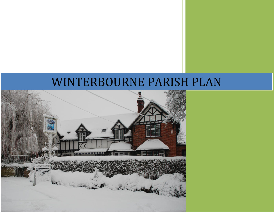# WINTERBOURNE PARISH PLAN

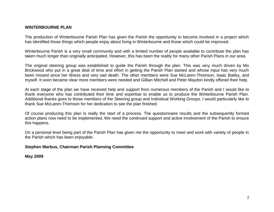# **WINTERBOURNE PLAN**

The production of Winterbourne Parish Plan has given the Parish the opportunity to become involved in a project which has identified those things which people enjoy about living in Winterbourne and those which could be improved.

Winterbourne Parish is a very small community and with a limited number of people available to contribute the plan has taken much longer than originally anticipated. However, this has been the reality for many other Parish Plans in our area.

The original steering group was established to guide the Parish through the plan. This was very much driven by Mo Brickwood who put in a great deal of time and effort in getting the Parish Plan started and whose input has very much been missed since her illness and very sad death. The other members were Sue McLaren-Thomson, Isaac Batley, and myself. It soon became clear more members were needed and Gillian Mitchell and Peter Maydon kindly offered their help.

At each stage of the plan we have received help and support from numerous members of the Parish and I would like to thank everyone who has contributed their time and expertise to enable us to produce the Winterbourne Parish Plan. Additional thanks goes to those members of the Steering group and Individual Working Groups. I would particularly like to thank Sue McLaren-Thomson for her dedication to see the plan finished.

Of course producing this plan is really the start of a process. The questionnaire results and the subsequently formed action plans now need to be implemented. We need the continued support and active involvement of the Parish to ensure this happens.

On a personal level being part of the Parish Plan has given me the opportunity to meet and work with variety of people in the Parish which has been enjoyable.

#### **Stephen Marbus, Chairman Parish Planning Committee**

**May 2009**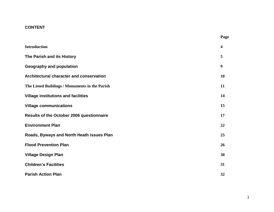# **CONTENT**

| <b>Introduction</b>                            | $\overline{\mathbf{4}}$ |
|------------------------------------------------|-------------------------|
| The Parish and its History                     | 5                       |
| <b>Geography and population</b>                | 9                       |
| Architectural character and conservation       | 10                      |
| The Listed Buildings / Monuments in the Parish | 11                      |
| <b>Village institutions and facilities</b>     | 14                      |
| <b>Village communications</b>                  | 15                      |
| Results of the October 2006 questionnaire      | 17                      |
| <b>Environment Plan</b>                        | 22                      |
| Roads, Byways and North Heath issues Plan      | 25                      |
| <b>Flood Prevention Plan</b>                   | 26                      |
| <b>Village Design Plan</b>                     | 30                      |
| <b>Children's Facilities</b>                   | 31                      |
| <b>Parish Action Plan</b>                      | 32                      |

**Page**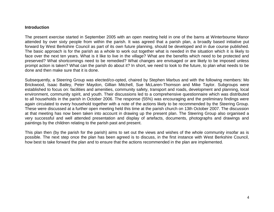#### **Introduction**

The present exercise started in September 2005 with an open meeting held in one of the barns at Winterbourne Manor attended by over sixty people from within the parish. It was agreed that a parish plan, a broadly based initiative put forward by West Berkshire Council as part of its own future planning, should be developed and in due course published. The basic approach is for the parish as a whole to work out together what is needed in the situation which it is likely to face over the next ten years. What is it like to live in the village? What are the benefits which need to be protected and preserved? What shortcomings need to be remedied? What changes are envisaged or are likely to be imposed unless prompt action is taken? What can the parish do about it? In short, we need to look to the future, to plan what needs to be done and then make sure that it is done.

Subsequently, a Steering Group was elected/co-opted, chaired by Stephen Marbus and with the following members: Mo Brickwood, Isaac Batley, Peter Maydon, Gillian Mitchell, Sue McLaren-Thomson and Mike Taylor. Subgroups were established to focus on: facilities and amenities, community safety, transport and roads, development and planning, local environment, community spirit, and youth. Their discussions led to a comprehensive questionnaire which was distributed to all households in the parish in October 2006. The response (55%) was encouraging and the preliminary findings were again circulated to every household together with a note of the actions likely to be recommended by the Steering Group. These were discussed at a further open meeting held this time at the parish church on 13th October 2007. The discussion at that meeting has now been taken into account in drawing up the present plan. The Steering Group also organised a very successful and well attended presentation and display of artefacts, documents, photographs and drawings and paintings by the children relating to the parish past and present.

This plan then (by the parish for the parish) aims to set out the views and wishes of the whole community insofar as is possible. The next step once the plan has been agreed is to discuss, in the first instance with West Berkshire Council, how best to take forward the plan and to ensure that the actions recommended in the plan are implemented.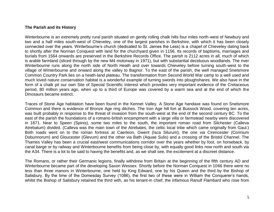# **The Parish and its History**

Winterbourne is an extremely pretty rural parish situated on gently rolling chalk hills four miles north-west of Newbury and two and a half miles south-west of Chieveley, one of the largest parishes in Berkshire, with which it has been closely connected over the years. Winterbourne's church (dedicated to St. James the Less) is a chapel of Chieveley dating back to shortly after the Norman Conquest with land for the churchyard given in 1156. Its records of baptisms, marriages and burials from 1564 onwards are preserved in the Berkshire Records Office. The parish is 2112 acres in all, much of which is arable farmland (sliced through by the new M4 motorway in 1971), but with substantial deciduous woodlands. The river Winterbourne runs along the north side of North Heath and over towards Chieveley before turning south-west to the village of Winterbourne and onward along the valley to Bagnor. To the east of the parish, the well managed Snelsmore Common Country Park lies on a heath-land plateau. The transformation from Second World War camp to a well used and much loved nature conservation habitat is a wonderful example of turning swords into ploughshares. We also have in the form of a chalk pit our own Site of Special Scientific Interest which provides very important evidence of the Cretaceous period, 80 million years ago, when up to a third of Europe was covered by a warm sea and at the end of which the Dinosaurs became extinct.

Traces of Stone Age habitation have been found in the Kennet Valley. A Stone Age handaxe was found on Snelsmore Common and there is evidence of Bronze Age ring ditches. The Iron Age hill fort at Bussock Wood, covering ten acres, was built probably in response to the threat of invasion from the south-west at the end of the second century BC. To the east of the parish the foundations of a romano-british encampment with a large villa or farmstead nearby were discovered in 1871. Near to Speen (Spinis), some two miles to the south, the important roman road from Silchester (Calleva Atrebatum) divided. (Calleva was the main town of the Atrebates, the celtic local tribe which came originally from Gaul.) Both roads went on to the roman fortress at Caerleon, Gwent (Isca Silurum); the one via Cirencester (Corinium Dobunnorum) and Gloucester (Glevum) and the other via Bath (Aquae Sulis) and a crossing of the Bristol Channel. The Thames Valley has been a crucial east/west communications corridor over the years whether by foot, on horseback, by canal barge or by railway and Winterbourne benefits from being close by, with equally good links now north and south via the A34. There is a lot to be said to having the benefits and, as we shall see, the excitement at a discreet distance.

The Romans, or rather their Germanic legions, finally withdrew from Britain at the beginning of the fifth century AD and Winterbourne became part of the developing Saxon Wessex. Shortly before the Norman Conquest in 1066 there were no less than three manors in Winterbourne, one held by King Edward, one by his Queen and the third by the Bishop of Salisbury. By the time of the Domesday Survey (1086), the first two of these were in William the Conquerer's hands, whilst the Bishop of Salisbury retained the third with, as his tenant-in chief, the infamous Ranulf Flambard who rose from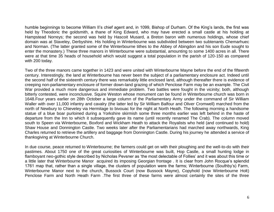humble beginnings to become William II's chief agent and, in 1099, Bishop of Durham. Of the King's lands, the first was held by Theodoric the goldsmith, a thane of King Edward, who may have erected a small castle at his holding at Hampstead Norreys; the second was held by Hascoit Musard, a Breton baron with numerous holdings, whose chief domain was at Staveley, Derbyshire. His holding in Winterbourne was subdivided between two subtenants Chemarhuec and Norman. (The latter granted some of the Winterbourne tithes to the Abbey of Abingdon and his son Eude sought to enter the monastery.) These three manors in Winterbourne were substantial, amounting to some 1400 acres in all. There were at that time 35 heads of household which would suggest a total population in the parish of 120-150 as compared with 200 today.

Two of the three manors came together in 1423 and were united with Winterbourne Mayne before the end of the fifteenth century. Interestingly, the land at Winterbourne has never been the subject of a parliamentary enclosure act. Indeed until the second half of the sixteenth century there was remarkably little enclosed land, although thereafter there is evidence of creeping non-parliamentary enclosure of former down-land grazing of which Penclose Farm may be an example. The Civil War provided a much more dangerous and immediate problem. Two battles were fought in the vicinity; both, although bitterly contested, were inconclusive. Squire Weston whose monument can be found in Winterbourne church was born in 1648.Four years earlier on 28th October a large column of the Parliamentary Army under the command of Sir William Waller with over 11,000 infantry and cavalry (the latter led by Sir William Balfour and Oliver Cromwell) marched from the north of Newbury to Chieveley via Hermitage to bivouac for the night at North Heath. The following morning a handsome statue of a blue boar purloined during a Yorkshire skirmish some three months earlier was left behind in the haste of departure from the Inn to which it subsequently gave its name (until recently renamed The Crab). The column moved south to Speen via Winterbourne, Boxford and Wickham Heath to attack the Royalists who held (and continued to hold) Shaw House and Donnington Castle. Two weeks later after the Parliamentarians had marched away northwards, King Charles returned to retrieve the artillery and baggage from Donnington Castle. During his journey he attended a service of thanksgiving at Winterbourne Church.

In due course, peace returned to Winterbourne; the farmers could get on with their ploughing and the well-to-do with their pastimes. About 1750 one of the great curiosities of Winterbourne was built, Hop Castle, a small hunting lodge in flamboyant neo-gothic style described by Nicholas Pevsner as 'the most delectable of Follies' and it was about this time or a little later that Winterbourne Manor acquired its imposing Georgian frontage . It is clear from John Rocque's splendid 1761 map that, rather than a single village, the clusters of population were the farms; Winterbourne (Southby's) Farm, Winterbourne Manor next to the church, Bussock Court (now Bussock Mayne), Copyhold (now Winterbourne Holt) Penclose Farm and North Heath Farm .The first three of these farms were almost certainly the sites of the three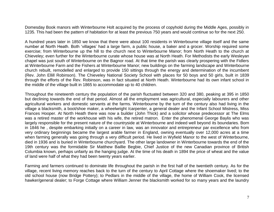Domesday Book manors with Winterbourne Holt acquired by the process of copyhold during the Middle Ages, possibly in 1235. This had been the pattern of habitation for at least the previous 750 years and would continue so for the next 250.

A hundred years later in 1850 we know that there were about 100 residents in Winterbourne village itself and the same number at North Heath. Both 'villages' had a large farm, a public house, a baker and a grocer. Worship required some exercise; from Winterbourne up the hill to the church next to Winterbourne Manor; from North Heath to the church at Chieveley; even further for the Winterbourne curate whose house was at North Heath. For Methodists the early Wesleyan chapel was just south of Winterbourne on the Bagnor road. At that time the parish was clearly prospering with the Fidlers at Winterbourne Farm and the Fishers at Winterbourne Manor; new buildings on the farming landscape and Winterbourne church rebuilt, remodelled and enlarged to provide 150 sittings through the energy and determination of the incumbent (Rev. John Ellill Robinson). The Chieveley National Society School with places for 50 boys and 50 girls, built in 1839 through the efforts of the Rev. Robinson, was in fact situated at North Heath. Winterbourne had its own infant school in the middle of the village built in 1865 to accommodate up to 40 children.

Throughout the nineteenth century the population of the parish fluctuated between 320 and 380, peaking at 395 in 1850 but declining towards the end of that period. Almost all the employment was agricultural, especially labourers and other agricultural workers and domestic servants at the farms. Winterbourne by the turn of the century also had living in the village a blacksmith, a boot/shoe maker, a wheelwright /carpenter, a general dealer and the Infant School Mistress, Miss Frances Hooper. At North Heath there was now a builder (John Thick) and a solicitor whose predecessor at The Elms was a retired master of the workhouse with his wife, the retired matron. Enter the phenomenal George Baylis who was largely responsible for the present nature of the countryside at Winterbourne and indeed well beyond its boundaries. Born in 1846 he , despite embarking initially on a career in law, was an innovator and entrepreneur par excellence who from very ordinary beginnings became the largest arable farmer in England, owning eventually over 12,000 acres at a time when farming generally was going through a very difficult period. He lived in Wyfield Manor to the west of Winterbourne, died in 1936 and is buried in Winterbourne churchyard. The other large landowner in Winterbourne towards the end of the 19th century was the formidable Sir Matthew Baillie Begbie, Chief Justice of the new Canadian province of British Columbia known, perhaps unfairly as the hanging judge. At the time of his death in 1894 the price of wheat and the value of land were half of what they had been twenty years earlier.

Farming and farmers continued to dominate life throughout the parish in the first half of the twentieth century. As for the village, recent living memory reaches back to the turn of the century to April Cottage where the shoemaker lived; to the old school house (now Bridge Pottery); to Pedlars in the middle of the village, the home of William Cook, the licensed hawker/general dealer; to Forge Cottage where William Jenner the blacksmith worked for so many years and the laundry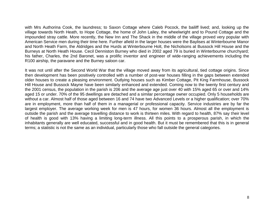with Mrs Authorina Cook, the laundress; to Saxon Cottage where Caleb Pocock, the bailiff lived; and, looking up the village towards North Heath, to Hope Cottage, the home of John Lailey, the wheelwright and to Pound Cottage and the impounded stray cattle. More recently, the New Inn and The Shack in the middle of the village proved very popular with American Service men during their time here. Further afield in the larger houses were the Baylises at Winterbourne Manor and North Heath Farm, the Aldridges and the Hurds at Winterbourne Holt, the Nicholsons at Bussock Hill House and the Burneys at North Heath House. Cecil Denniston Burney who died in 2002 aged 79 is buried in Winterbourne churchyard; his father, Charles, the 2nd Baronet, was a prolific inventor and engineer of wide-ranging achievements including the R100 airship, the paravane and the Burney saloon car.

It was not until after the Second World War that the village moved away from its agricultural, tied cottage origins. Since then development has been positively controlled with a number of post-war houses filling in the gaps between extended older houses to create a pleasing environment. Outlying houses such as Kimber Cottage, Pit King Farmhouse, Bussock Hill House and Bussock Mayne have been similarly enhanced and extended. Coming now to the twenty first century and the 2001 census, the population in the parish is 206 and the average age just over 40 with 15% aged 65 or over and 14% aged 15 or under. 70% of the 95 dwellings are detached and a similar percentage owner occupied. Only 5 households are without a car. Almost half of those aged between 16 and 74 have two Advanced Levels or a higher qualification; over 70% are in employment, more than half of them in a managerial or professional capacity. Service industries are by far the largest employer. The average working week for men is 47 hours, for women 36 hours. Almost all the employment is outside the parish and the average travelling distance to work is thirteen miles. With regard to health, 87% say their level of health is good with 13% having a limiting long-term illness. All this points to a prosperous parish, in which the inhabitants generally are well educated, successful and in good health. But it must be remembered that this is in general terms; a statistic is not the same as an individual, particularly those who fall outside the general categories.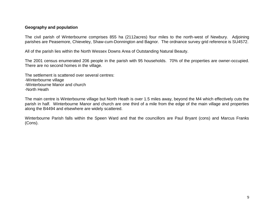#### **Geography and population**

The civil parish of Winterbourne comprises 855 ha (2112acres) four miles to the north-west of Newbury. Adjoining parishes are Peasemore, Chieveley, Shaw-cum-Donnington and Bagnor. The ordnance survey grid reference is SU4572.

All of the parish lies within the North Wessex Downs Area of Outstanding Natural Beauty.

The 2001 census enumerated 206 people in the parish with 95 households. 70% of the properties are owner-occupied. There are no second homes in the village.

The settlement is scattered over several centres: -Winterbourne village -Winterbourne Manor and church -North Heath

The main centre is Winterbourne village but North Heath is over 1.5 miles away, beyond the M4 which effectively cuts the parish in half. Winterbourne Manor and church are one third of a mile from the edge of the main village and properties along the B4494 and elsewhere are widely scattered.

Winterbourne Parish falls within the Speen Ward and that the councillors are Paul Bryant (cons) and Marcus Franks (Cons).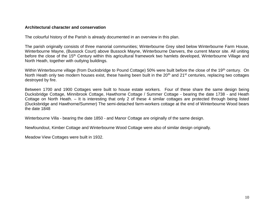## **Architectural character and conservation**

The colourful history of the Parish is already documented in an overview in this plan.

The parish originally consists of three manorial communities; Winterbourne Grey sited below Winterbourne Farm House, Winterbourne Mayne, (Bussock Court) above Bussock Mayne, Winterbourne Danvers, the current Manor site. All uniting before the close of the 15<sup>th</sup> Century within this agricultural framework two hamlets developed, Winterbourne Village and North Heath, together with outlying buildings.

Within Winterbourne village (from Ducksbridge to Pound Cottage) 50% were built before the close of the 19<sup>th</sup> century. On North Heath only two modern houses exist, these having been built in the 20<sup>th</sup> and 21<sup>st</sup> centuries, replacing two cottages destroyed by fire.

Between 1700 and 1900 Cottages were built to house estate workers. Four of these share the same design being Ducksbridge Cottage, Minnibrook Cottage, Hawthorne Cottage / Summer Cottage - bearing the date 1738 - and Heath Cottage on North Heath. – It is interesting that only 2 of these 4 similar cottages are protected through being listed (Ducksbridge and Hawthorne/Summer) The semi-detached farm-workers cottage at the end of Winterbourne Wood bears the date 1848

Winterbourne Villa - bearing the date 1850 - and Manor Cottage are originally of the same design.

Newfoundout, Kimber Cottage and Winterbourne Wood Cottage were also of similar design originally.

Meadow View Cottages were built in 1932.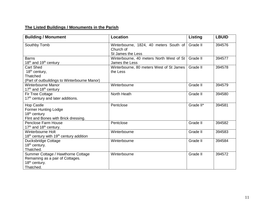# **The Listed Buildings / Monuments in the Parish**

| <b>Building / Monument</b>                                      | Location                                 | Listing   | <b>LBUID</b> |
|-----------------------------------------------------------------|------------------------------------------|-----------|--------------|
| Southby Tomb                                                    | Winterbourne, 1824, 40 meters South of   | Grade II  | 394576       |
|                                                                 | Church of<br>St James the Less           |           |              |
| <b>Barns</b>                                                    | Winterbourne, 40 meters North West of St | Grade II  | 394577       |
| 18 <sup>th</sup> and 19 <sup>th</sup> century                   | James the Less                           |           |              |
| Cart Shed                                                       | Winterbourne, 80 meters West of St James | Grade II  | 394578       |
| 18 <sup>th</sup> century,                                       | the Less                                 |           |              |
| Thatched                                                        |                                          |           |              |
| (Part of outbuildings to Winterbourne Manor)                    |                                          |           |              |
| Winterbourne Manor                                              | Winterbourne                             | Grade II  | 394579       |
| 17 <sup>th</sup> and 18 <sup>th</sup> century                   |                                          |           |              |
| Fir Tree Cottage                                                | North Heath                              | Grade II  | 394580       |
| 17 <sup>th</sup> century and later additions.                   |                                          |           |              |
| Hop Castle                                                      | Pentclose                                | Grade II* | 394581       |
| <b>Former Hunting Lodge</b>                                     |                                          |           |              |
| 18 <sup>th</sup> century                                        |                                          |           |              |
| Flint and Bones with Brick dressing.                            |                                          |           |              |
| <b>Penclose Farm House</b>                                      | Pentclose                                | Grade II  | 394582       |
| 17 <sup>th</sup> and 18 <sup>th</sup> century.                  |                                          |           |              |
| Winterbourne Holt                                               | Winterbourne                             | Grade II  | 394583       |
| 18 <sup>th</sup> century with 19 <sup>th</sup> century addition |                                          |           |              |
| Ducksbridge Cottage                                             | Winterbourne                             | Grade II  | 394584       |
| 18 <sup>th</sup> century.                                       |                                          |           |              |
| Thatched.                                                       |                                          |           |              |
| Summer Cottage / Hawthorne Cottage                              | Winterbourne                             | Grade II  | 394572       |
| Remaining as a pair of Cottages.                                |                                          |           |              |
| 18 <sup>th</sup> century.                                       |                                          |           |              |
| Thatched.                                                       |                                          |           |              |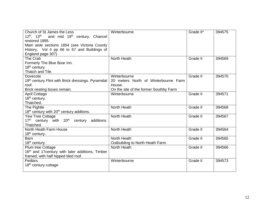| Church of St James the Less<br>12 <sup>th</sup> , 13 <sup>th</sup> and mid 19 <sup>th</sup> century. Chancel<br>restored 1895.<br>Main aisle sections 1854 (see Victoria County | Winterbourne                                                                                             | Grade II* | 394575 |
|---------------------------------------------------------------------------------------------------------------------------------------------------------------------------------|----------------------------------------------------------------------------------------------------------|-----------|--------|
| History, Vol 4 pp 66 to 67 and Buildings of<br>England page 307)                                                                                                                |                                                                                                          |           |        |
| The Crab<br>Formerly The Blue Boar Inn.<br>18 <sup>th</sup> century<br>Thatch and Tile.                                                                                         | North Heath                                                                                              | Grade II  | 394569 |
| Dovecote<br>19th century Flint with Brick dressings. Pyramidal<br>roof.<br>Brick nesting boxes remain.                                                                          | Winterbourne<br>20 meters North of Winterbourne Farm<br>House.<br>On the site of the former Southby Farm | Grade II  | 394570 |
| <b>April Cottage</b><br>18 <sup>th</sup> century.<br>Thatched.                                                                                                                  | Winterbourne                                                                                             | Grade II  | 394571 |
| The Pightle<br>18 <sup>th</sup> century with 20 <sup>th</sup> century additons.                                                                                                 | North Heath                                                                                              | Grade II  | 394568 |
| Yew Tree Cottage<br>17 <sup>th</sup> century with 20 <sup>th</sup> century<br>additions.<br>Thatched.                                                                           | North Heath                                                                                              | Grade II  | 394567 |
| North Heath Farm House<br>$18th$ century.                                                                                                                                       | North Heath                                                                                              | Grade II  | 394564 |
| <b>Barn</b><br>18 <sup>th</sup> century.                                                                                                                                        | North Heath<br>Outbuilding to North Heath Farm.                                                          | Grade II  | 394565 |
| Plum tree Cottage<br>16th and 17 century with later additions, Timber<br>framed, with half hipped tiled roof.                                                                   | North Heath                                                                                              | Grade II  | 394566 |
| Pedlars<br>18 <sup>th</sup> century cottage                                                                                                                                     | Winterbourne                                                                                             | Grade II  | 394573 |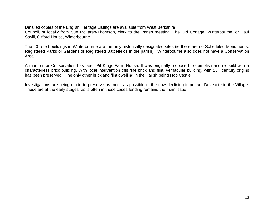Detailed copies of the English Heritage Listings are available from West Berkshire

Council, or locally from Sue McLaren-Thomson, clerk to the Parish meeting, The Old Cottage, Winterbourne, or Paul Savill, Gifford House, Winterbourne.

The 20 listed buildings in Winterbourne are the only historically designated sites (ie there are no Scheduled Monuments, Registered Parks or Gardens or Registered Battlefields in the parish). Winterbourne also does not have a Conservation Area.

A triumph for Conservation has been Pit Kings Farm House, It was originally proposed to demolish and re build with a characterless brick building. With local intervention this fine brick and flint, vernacular building, with 18th century origins has been preserved. The only other brick and flint dwelling in the Parish being Hop Castle.

Investigations are being made to preserve as much as possible of the now declining important Dovecote in the Village. These are at the early stages, as is often in these cases funding remains the main issue.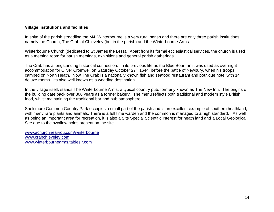# **Village institutions and facilities**

In spite of the parish straddling the M4, Winterbourne is a very rural parish and there are only three parish institutions, namely the Church, The Crab at Chieveley (but in the parish) and the Winterbourne Arms.

Winterbourne Church (dedicated to St James the Less). Apart from its formal ecclesiastical services, the church is used as a meeting room for parish meetings, exhibitions and general parish gatherings.

The Crab has a longstanding historical connection. In its previous life as the Blue Boar Inn it was used as overnight accommodation for Oliver Cromwell on Saturday October 27<sup>th</sup> 1644, before the battle of Newbury, when his troops camped on North Heath. Now The Crab is a nationally known fish and seafood restaurant and boutique hotel with 14 deluxe rooms. Its also well known as a wedding destination.

In the village itself, stands The Winterbourne Arms, a typical country pub, formerly known as The New Inn. The origins of the building date back over 300 years as a former bakery. The menu reflects both traditional and modern style British food, whilst maintaining the traditional bar and pub atmosphere.

Snelsmore Common Country Park occupies a small part of the parish and is an excellent example of southern heathland, with many rare plants and animals. There is a full time warden and the common is managed to a high standard. . As well as being an important area for recreation, it is also a Site Special Scientific Interest for heath land and a Local Geological Site due to the swallow holes present on the site.

[www.achurchnearyou.com/winterbourne](http://www.achurchnearyou.com/winterbourne) [www.crabchieveley.com](http://www.crabchieveley.com/) [www.winterbournearms.tablesir.com](http://www.winterbournearms.tablesir.com/)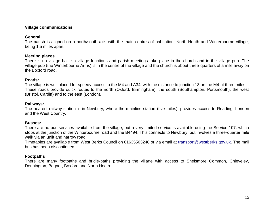# **Village communications**

# **General**

The parish is aligned on a north/south axis with the main centres of habitation, North Heath and Winterbourne village, being 1.5 miles apart.

# **Meeting places**

There is no village hall, so village functions and parish meetings take place in the church and in the village pub. The village pub (the Winterbourne Arms) is in the centre of the village and the church is about three-quarters of a mile away on the Boxford road.

# **Roads:**

The village is well placed for speedy access to the M4 and A34, with the distance to junction 13 on the M4 at three miles. These roads provide quick routes to the north (Oxford, Birmingham), the south (Southampton, Portsmouth), the west (Bristol, Cardiff) and to the east (London).

## **Railways:**

The nearest railway station is in Newbury, where the mainline station (five miles), provides access to Reading, London and the West Country.

# **Busses:**

There are no bus services available from the village, but a very limited service is available using the Service 107, which stops at the junction of the Winterbourne road and the B4494. This connects to Newbury, but involves a three-quarter mile walk via an unlit and narrow road.

Timetables are available from West Berks Council on 01635503248 or via email at [transport@westberks.gov.uk.](mailto:transport@westberks.gov.uk) The mail bus has been discontinued.

# **Footpaths**

There are many footpaths and bridle-paths providing the village with access to Snelsmore Common, Chieveley, Donnington, Bagnor, Boxford and North Heath.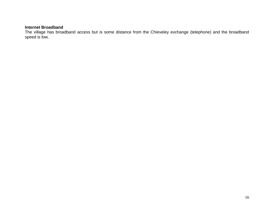# **Internet Broadband**

The village has broadband access but is some distance from the Chieveley exchange (telephone) and the broadband speed is low.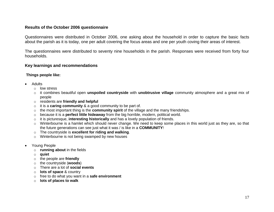# **Results of the October 2006 questionnaire**

Questionnaires were distributed in October 2006, one asking about the household in order to capture the basic facts about the parish as it is today, one per adult covering the focus areas and one per youth coving their areas of interest.

The questionnaires were distributed to seventy nine households in the parish. Responses were received from forty four households.

#### **Key learnings and recommendations**

#### **Things people like:**

- Adults
	- o low stress
	- o it combines beautiful open **unspoiled countryside** with **unobtrusive village** community atmosphere and a great mix of people
	- o residents are **friendly and helpful**
	- o it is a **caring community** & a good community to be part of.
	- o the most important thing is the **community spirit** of the village and the many friendships.
	- o because it is a **perfect little hideaway** from the big horrible, modern, political world.
	- o it is picturesque, **interesting historically** and has a lovely population of friends.
	- $\circ$  Winterbourne is a hamlet which should never change. We need to keep some places in this world just as they are, so that the future generations can see just what it was / is like in a **COMMUNITY**!
	- o The countryside is **excellent for riding and walking**.
	- o Winterbourne is not being swamped by new houses
- Young People
	- o **running about** in the fields
	- o **quiet**
	- o the people are **friendly**
	- o the countryside (**woods**)
	- o There are a lot of **social events**
	- o **lots of space** & country
	- o free to do what you want in a **safe environment**
	- o **lots of places to walk**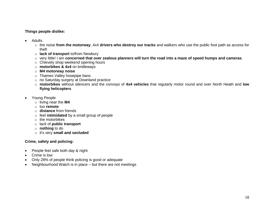**Things people dislike:**

- Adults
	- o the noise **from the motorway**, 4x4 **drivers who destroy our tracks** and walkers who use the public foot path as access for theft
	- o **lack of transport** to/from Newbury
	- o very little! I am **concerned that over zealous planners will turn the road into a maze of speed humps and cameras**.
	- o Chievely shop weekend opening hours
	- o **motorbikes & 4x4** on bridleways
	- o **M4 motorway noise**
	- o Thames Valley hosepipe bans
	- o no Saturday surgery at Downland practice
	- o **motorbikes** without silencers and the convoys of **4x4 vehicles** that regularly motor round and over North Heath and **low flying helicopters**
- Young People
	- o living near the **M4**
	- o too **remote**
	- o **distance** from friends
	- o feel **intimidated** by a small group of people
	- o the motorbikes
	- o lack of **public transport**
	- o **nothing** to do
	- o it's very **small and secluded**

#### **Crime, safety and policing:**

- People feel safe both day & night
- Crime is low
- Only 28% of people think policing is good or adequate
- Neighbourhood Watch is in place but there are not meetings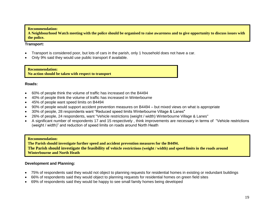#### **Recommendation:**

**A Neighbourhood Watch meeting with the police should be organised to raise awareness and to give opportunity to discuss issues with the police.**

#### **Transport:**

- Transport is considered poor, but lots of cars in the parish, only 1 household does not have a car.
- Only 9% said they would use public transport if available.

**Recommendation: No action should be taken with respect to transport**

#### **Roads:**

- 60% of people think the volume of traffic has increased on the B4494
- 40% of people think the volume of traffic has increased in Winterbourne
- 45% of people want speed limits on B4494
- 90% of people would support accident prevention measures on B4494 but mixed views on what is appropriate
- 30% of people, 28 respondents want "Reduced speed limits Winterbourne Village & Lanes"
- 26% of people, 24 respondents, want "Vehicle restrictions (weight / width) Winterbourne Village & Lanes"
- A significant number of respondents 17 and 15 respectively , think improvements are necessary in terms of "Vehicle restrictions (weight / width)" and reduction of speed limits on roads around North Heath

#### **Recommendation:**

**The Parish should investigate further speed and accident prevention measures for the B4494. The Parish should investigate the feasibility of vehicle restrictions (weight / width) and speed limits in the roads around Winterbourne and North Heath**

#### **Development and Planning:**

- 75% of respondents said they would not object to planning requests for residential homes in existing or redundant buildings
- 66% of respondents said they would object to planning requests for residential homes on green field sites
- 69% of respondents said they would be happy to see small family homes being developed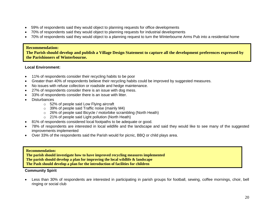- 59% of respondents said they would object to planning requests for office developments
- 70% of respondents said they would object to planning requests for industrial developments
- 70% of respondents said they would object to a planning request to turn the Winterbourne Arms Pub into a residential home

# **Recommendation:**

**The Parish should develop and publish a Village Design Statement to capture all the development preferences expressed by the Parishioners of Winterbourne.**

# **Local Environment:**

- 11% of respondents consider their recycling habits to be poor
- Greater than 40% of respondents believe their recycling habits could be improved by suggested measures.
- No issues with refuse collection or roadside and hedge maintenance.
- 27% of respondents consider there is an issue with dog mess.
- 33% of respondents consider there is an issue with litter.
- **Disturbances** 
	- o 52% of people said Low Flying aircraft
	- $\circ$  39% of people said Traffic noise (mainly M4)
	- o 26% of people said Bicycle / motorbike scrambling (North Heath)
	- o 21% of people said Light pollution (North Heath)
- 81% of respondents considered local footpaths to be adequate or good.
- 78% of respondents are interested in local wildlife and the landscape and said they would like to see many of the suggested improvements implemented
- Over 33% of the respondents said the Parish would for picnic, BBQ or child plays area.

#### **Recommendation:**

**The parish should investigate how to have improved recycling measures implemented**

**The parish should develop a plan for improving the local wildlife & landscape**

**The Pash should develop a plan for the introduction of facilities for children**

# **Community Spirit**

• Less than 30% of respondents are interested in participating in parish groups for football, sewing, coffee mornings, choir, bell ringing or social club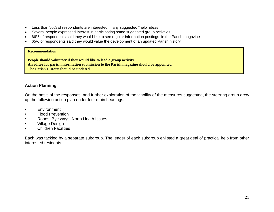- Less than 30% of respondents are interested in any suggested "help" ideas
- Several people expressed interest in participating some suggested group activities
- 66% of respondents said they would like to see regular information postings in the Parish magazine
- 65% of respondents said they would value the development of an updated Parish history.

#### **Recommendation:**

**People should volunteer if they would like to lead a group activity An editor for parish information submission to the Parish magazine should be appointed The Parish History should be updated.**

# **Action Planning**

On the basis of the responses, and further exploration of the viability of the measures suggested, the steering group drew up the following action plan under four main headings:

- Environment
- Flood Prevention
- Roads, Bye ways, North Heath Issues
- Village Design
- Children Facilities

Each was tackled by a separate subgroup. The leader of each subgroup enlisted a great deal of practical help from other interested residents.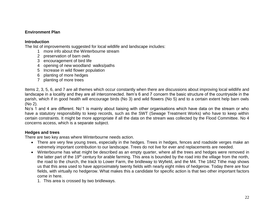# **Environment Plan**

# **Introduction**

The list of improvements suggested for local wildlife and landscape includes:

- 1 more info about the Winterbourne stream
- 2 preservation of barn owls
- 3 encouragement of bird life
- 4 opening of new woodland walks/paths
- 5 Increase in wild flower population
- 6 planting of more hedges
- 7 planting of more trees

Items 2, 3, 5, 6, and 7 are all themes which occur constantly when there are discussions about improving local wildlife and landscape in a locality and they are all interconnected. Item's 6 and 7 concern the basic structure of the countryside in the parish, which if in good health will encourage birds (No 3) and wild flowers (No 5) and to a certain extent help barn owls (No 2).

No's 1 and 4 are different. No'1 is mainly about liaising with other organisations which have data on the stream or who have a statutory responsibility to keep records, such as the SWT (Sewage Treatment Works) who have to keep within certain constraints. It might be more appropriate if all the data on the stream was collected by the Flood Committee. No 4 concerns access, which is a separate subject.

# **Hedges and trees**

There are two key areas where Winterbourne needs action.

- There are very few young trees, especially in the hedges. Trees in hedges, fences and roadside verges make an extremely important contribution to our landscape. Trees do not live for ever and replacements are needed.
- Winterbourne has what might be described as an empty quarter, where all the trees and hedges were removed in the latter part of the 19<sup>th</sup> century for arable farming. This area is bounded by the road into the village from the north, the road to the church, the track to Lower Farm, the bridleway to Wyfield, and the M4. The 1842 Tithe map shows us that this area used to have approximately twenty fields with nearly eight miles of hedgerow. Today there are four fields, with virtually no hedgerow. What makes this a candidate for specific action is that two other important factors come in here.
	- 1. This area is crossed by two bridleways.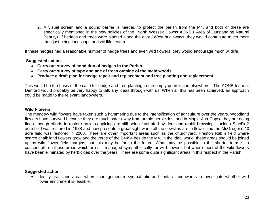2. A visual screen and a sound barrier is needed to protect the parish from the M4, and both of these are specifically mentioned in the new policies of the North Wessex Downs AONB ( Area of Outstanding Natural Beauty). If hedges and trees were planted along the east / West bridleways, they would contribute much more than just being landscape and wildlife features.

If these hedges had a reasonable number of hedge trees and even wild flowers, they would encourage much wildlife.

#### **Suggested action**

- **Carry out survey of condition of hedges in the Parish.**
- **Carry out survey of type and age of trees outside of the main woods.**
- **Produce a draft plan for hedge repair and replacement and tree planting and replacement.**

This would be the basis of the case for hedge and tree planting in the empty quarter and elsewhere. The AONB team at Denford would probably be very happy to talk any ideas through with us. When all this has been achieved, an approach could be made to the relevant landowners.

#### **Wild Flowers**

The meadow wild flowers have taken such a hammering due to the intensification of agriculture over the years. Woodland flowers have survived because they are much safer away from arable herbicides, and in Maple Ash Copse they are doing fine although efforts to restore hazel coppicing are still being frustrated by deer and rabbit browsing. Lucinda Steel's 2 acre field was restored in 1988 and now presents a great sight when all the cowslips are in flower and the McGregor's 10 acre field was restored in 2000. There are other important areas such as the churchyard, Preston Rabl's field where scarce chalk land flowers grow and the verge of the B4494 beside the M4. In the ideal world, these areas should be joined up by wild flower field margins, but this may be far in the future. What may be possible in the shorter term is to concentrate on those areas which are still managed sympathetically for wild flowers, but where most of the wild flowers have been eliminated by herbicides over the years. There are some quite significant areas in this respect in the Parish.

#### **Suggested action.**

• Identify grassland areas where management is sympathetic and contact landowners to investigate whether wild flower enrichment is feasible.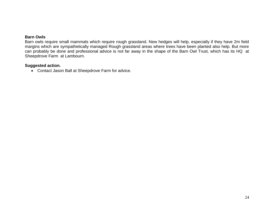# **Barn Owls**

Barn owls require small mammals which require rough grassland. New hedges will help, especially if they have 2m field margins which are sympathetically managed Rough grassland areas where trees have been planted also help. But more can probably be done and professional advice is not far away in the shape of the Barn Owl Trust, which has its HQ at Sheepdrove Farm at Lambourn.

## **Suggested action.**

• Contact Jason Ball at Sheepdrove Farm for advice.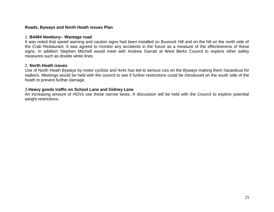# **Roads, Byways and North Heath issues Plan**

#### 1. **B4494 Newbury-- Wantage road**

It was noted that speed warning and caution signs had been installed on Bussock Hill and on the hill on the north side of the Crab Restaurant. It was agreed to monitor any accidents in the future as a measure of the effectiveness of these signs. In addition Stephen Mitchell would meet with Andrew Garratt at West Berks Council to explore other safety measures such as double white lines.

#### 2. **North Heath issues**

Use of North Heath Byways by motor cyclists and 4x4s has led to serious ruts on the Byways making them hazardous for walkers. Meetings would be held with the council to see if further restrictions could be introduced on the south side of the heath to prevent further damage.

#### 3.**Heavy goods traffic on School Lane and Gidney Lane**

An increasing amount of HGVs use these narrow lanes. A discussion will be held with the Council to explore potential weight restrictions.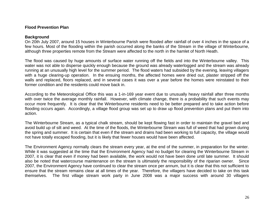## **Flood Prevention Plan**

#### **Background**

On 20th July 2007, around 15 houses in Winterbourne Parish were flooded after rainfall of over 4 inches in the space of a few hours. Most of the flooding within the parish occurred along the banks of the Stream in the village of Winterbourne, although three properties remote from the Stream were affected to the north in the hamlet of North Heath.

The flood was caused by huge amounts of surface water running off the fields and into the Winterbourne valley. This water was not able to disperse quickly enough because the ground was already waterlogged and the stream was already running at an unusually high level for the summer period. The flood waters had subsided by the evening, leaving villagers with a huge clearing-up operation. In the ensuing months, the affected homes were dried out, plaster stripped off the walls and replaced, floors replaced, and in several cases it was over a year before the homes were reinstated to their former condition and the residents could move back in.

According to the Meteorological Office this was a 1-in-169 year event due to unusually heavy rainfall after three months with over twice the average monthly rainfall. However, with climate change, there is a probability that such events may occur more frequently. It is clear that the Winterbourne residents need to be better prepared and to take action before flooding occurs again. Accordingly, a village flood group was set up to draw up flood prevention plans and put them into action.

The Winterbourne Stream, as a typical chalk stream, should be kept flowing fast in order to maintain the gravel bed and avoid build up of silt and weed. At the time of the floods, the Winterbourne Stream was full of weed that had grown during the spring and summer. It is certain that even if the stream and drains had been working to full capacity, the village would not have totally escaped flooding, but it is likely that fewer houses would have been affected.

The Environment Agency normally clears the stream every year, at the end of the summer, in preparation for the winter. While it was suggested at the time that the Environment Agency had no budget for clearing the Winterbourne Stream in 2007, it is clear that even if money had been available, the work would not have been done until late summer. It should also be noted that watercourse maintenance on the stream is ultimately the responsibility of the riparian owner. Since 2007, the Environment Agency have continued to clear the stream once per annum, but it is clear that this not sufficient to ensure that the stream remains clear at all times of the year. Therefore, the villagers have decided to take on this task themselves. The first village stream work party in June 2008 was a major success with around 30 villagers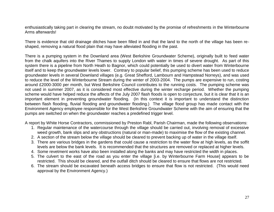enthusiastically taking part in clearing the stream, no doubt motivated by the promise of refreshments in the Winterbourne Arms afterwards!

There is evidence that old drainage ditches have been filled in and that the land to the north of the village has been reshaped, removing a natural flood plain that may have alleviated flooding in the past.

There is a pumping system in the Downland area (West Berkshire Groundwater Scheme), originally built to feed water from the chalk aquifers into the River Thames to supply London with water in times of severe drought. As part of this system there is a pipeline from North Heath to Bagnor, which could potentially be used to divert water from Winterbourne itself and to keep the groundwater levels lower. Contrary to popular belief, this pumping scheme has been used to reduce groundwater levels in several Downland villages (e.g. Great Shefford, Lambourn and Hampstead Norreys), and was used to reduce the level of the Winterbourne Stream during the winter of 2003-2004. The pumps are expensive to run, costing around £2000-3000 per month, but West Berkshire Council contributes to the running costs. The pumping scheme was not used in summer 2007, as it is considered most effective during the winter recharge period. Whether the pumping scheme would have helped reduce the affects of the July 2007 flash floods is open to conjecture, but it is clear that it is an important element in preventing groundwater flooding. (In this context it is important to understand the distinction between flash flooding, fluvial flooding and groundwater flooding.) The village flood group has made contact with the Environment Agency employee responsible for the West Berkshire Groundwater Scheme with the aim of ensuring that the pumps are switched on when the groundwater reaches a predefined trigger level.

A report by White Horse Contractors, commissioned by Preston Rabl, Parish Chairman, made the following observations:

- 1. Regular maintenance of the watercourse through the village should be carried out, involving removal of excessive weed growth, bank slips and any obstructions (natural or man-made) to maximise the flow of the existing channel.
- 2. A section of the stream below the village should be cleared to prevent backing up of water in the village itself.
- 3. There are various bridges in the gardens that could cause a restriction to the water flow at high levels, as the soffit levels are below the bank levels. It is recommended that the structures are removed or replaced at higher levels.
- 4. Some revetment works have also been installed along the banks and may have restricted the width in places.
- 5. The culvert to the east of the road as you enter the village [i.e. by Winterbourne Farm House] appears to be restricted. This should be cleared, and the outfall ditch should be cleared to ensure that flows are not restricted.
- 6. The stream should be excavated beneath access bridges to ensure that flow is not restricted. (This would need approval by the Environment Agency.)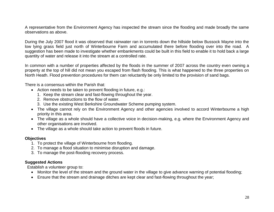A representative from the Environment Agency has inspected the stream since the flooding and made broadly the same observations as above.

During the July 2007 flood it was observed that rainwater ran in torrents down the hillside below Bussock Mayne into the low lying grass field just north of Winterbourne Farm and accumulated there before flooding over into the road. A suggestion has been made to investigate whether embankments could be built in this field to enable it to hold back a large quantity of water and release it into the stream at a controlled rate.

In common with a number of properties affected by the floods in the summer of 2007 across the country even owning a property at the top of hill did not mean you escaped from flash flooding. This is what happened to the three properties on North Heath. Flood prevention procedures for them can reluctantly be only limited to the provision of sand bags.

There is a consensus within the Parish that:

- Action needs to be taken to prevent flooding in future, e.g.:
	- 1. Keep the stream clear and fast-flowing throughout the year.
	- 2. Remove obstructions to the flow of water.
	- 3. Use the existing West Berkshire Groundwater Scheme pumping system.
- The village cannot rely on the Environment Agency and other agencies involved to accord Winterbourne a high priority in this area.
- The village as a whole should have a collective voice in decision-making, e.g. where the Environment Agency and other organisations are involved.
- The village as a whole should take action to prevent floods in future.

#### **Objectives**

- 1. To protect the village of Winterbourne from flooding.
- 2. To manage a flood situation to minimise disruption and damage.
- 3. To manage the post-flooding recovery process.

# **Suggested Actions**

Establish a volunteer group to:

- Monitor the level of the stream and the ground water in the village to give advance warning of potential flooding;
- Ensure that the stream and drainage ditches are kept clear and fast-flowing throughout the year;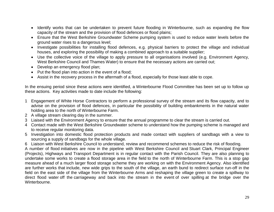- Identify works that can be undertaken to prevent future flooding in Winterbourne, such as expanding the flow capacity of the stream and the provision of flood defences or flood plains;
- Ensure that the West Berkshire Groundwater Scheme pumping system is used to reduce water levels before the ground water rises to a dangerous level;
- Investigate possibilities for installing flood defences, e.g. physical barriers to protect the village and individual houses, and exploring the possibility of making a combined approach to a suitable supplier;
- Use the collective voice of the village to apply pressure to all organisations involved (e.g. Environment Agency, West Berkshire Council and Thames Water) to ensure that the necessary actions are carried out;
- Develop an emergency flood plan;
- Put the flood plan into action in the event of a flood;
- Assist in the recovery process in the aftermath of a flood, especially for those least able to cope.

In the ensuing period since these actions were identified, a Winterbourne Flood Committee has been set up to follow up these actions. Key activities made to date include the following:

- 1 Engagement of White Horse Contractors to perform a professional survey of the stream and its flow capacity, and to advise on the provision of flood defences, in particular the possibility of building embankments in the natural water holding area to the north of Winterbourne Farm.
- 2 A village stream clearing day in the summer.
- 3 Liaised with the Environment Agency to ensure that the annual programme to clear the stream is carried out.
- 4 Contact made with the West Berkshire Groundwater scheme to understand how the pumping scheme is managed and to receive regular monitoring data.
- 5 Investigation into domestic flood protection products and made contact with suppliers of sandbags with a view to sourcing a supply of sandbags for the whole village.
- 6 Liaison with West Berkshire Council to understand, review and recommend schemes to reduce the risk of flooding.

A number of flood initiatives are now in the pipeline with West Berkshire Council and Stuart Clark, Principal Engineer (Projects), Highways and Transport Department is in regular contact with the Parish Council. They are also planning to undertake some works to create a flood storage area in the field to the north of Winterbourne Farm. This is a stop gap measure ahead of a much larger flood storage scheme they are working on with the Environment Agency. Also identified are further works that include, new wide grips to the south of the village, an earth bund to redirect surface run-off in the field on the east side of the village from the Winterbourne Arms and reshaping the village green to create a spillway to direct flood water off the carriageway and back into the stream in the event of over spilling at the bridge over the Winterbourne.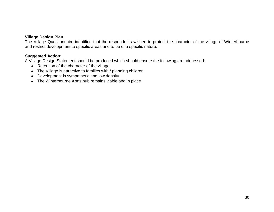# **Village Design Plan**

The Village Questionnaire identified that the respondents wished to protect the character of the village of Winterbourne and restrict development to specific areas and to be of a specific nature.

# **Suggested Action:**

A Village Design Statement should be produced which should ensure the following are addressed:

- Retention of the character of the village
- The Village is attractive to families with / planning children
- Development is sympathetic and low density
- The Winterbourne Arms pub remains viable and in place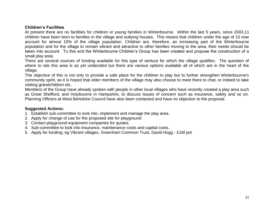# **Children's Facilities**

At present there are no facilities for children or young families in Winterbourne. Within the last 5 years, since 2003,11 children have been born to families in the village and outlying houses. This means that children under the age of 10 now account for almost 10% of the village population. Children are, therefore, an increasing part of the Winterbourne population and for the village to remain vibrant and attractive to other families moving to the area, their needs should be taken into account. To this end the Winterbourne Children's Group has been created and propose the construction of a small play area.

There are several sources of funding available for this type of venture for which the village qualifies. The question of where to site this area is as yet undecided but there are various options available all of which are in the heart of the village.

The objective of this is not only to provide a safe place for the children to play but to further strengthen Winterbourne's community spirit, as it is hoped that older members of the village may also choose to meet there to chat, or indeed to take visiting grandchildren etc.

Members of the Group have already spoken with people in other local villages who have recently created a play area such as Great Shefford, and Holybourne in Hampshire, to discuss issues of concern such as insurance, safety and so on. Planning Officers at West Berkshire Council have also been contacted and have no objection to the proposal.

# **Suggested Actions:**

- 1. Establish sub-committee to look into, implement and manage the play area.
- 2. Apply for change of use for the proposed site for playground
- 3. Contact playground equipment companies for quotes.
- 4. Sub-committee to look into insurance, maintenance costs and capital costs.
- 5. Apply for funding; eg Vibrant villages, Greenham Common Trust, David Hogg £1M pot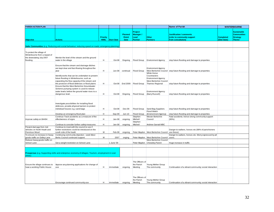| <b>PARISH ACTION PLAN</b>                                                                           |                                                                                                                                                                                                  |                          |                   |                                         |                                                     |                                                                                                       | <b>Name of Parish</b>                                                                            |                                 | <b>WINTERBOURNE</b>                                                         |
|-----------------------------------------------------------------------------------------------------|--------------------------------------------------------------------------------------------------------------------------------------------------------------------------------------------------|--------------------------|-------------------|-----------------------------------------|-----------------------------------------------------|-------------------------------------------------------------------------------------------------------|--------------------------------------------------------------------------------------------------|---------------------------------|-----------------------------------------------------------------------------|
| <b>Objective</b>                                                                                    | <b>Actions</b>                                                                                                                                                                                   | <b>Priority</b><br>H/M/L | <b>Start Date</b> | <b>Planned</b><br><b>Finish</b><br>Date | <b>Project</b><br><b>Manager</b><br>Lead<br>Partner | Other<br><b>Partners</b>                                                                              | <b>Justification / comments</b><br>(refer to community support<br>from consultation)             | <b>Completed</b><br>(Give Date) | <b>Sustainable</b><br><b>Communities</b><br><b>Strategy</b><br><b>Theme</b> |
|                                                                                                     | Safer Communities (e.g. Reducing anti-social behaviour; reducing speed on roads; emergency planning                                                                                              |                          |                   |                                         |                                                     |                                                                                                       |                                                                                                  |                                 |                                                                             |
|                                                                                                     |                                                                                                                                                                                                  |                          |                   |                                         |                                                     |                                                                                                       |                                                                                                  |                                 |                                                                             |
| To protect the village of<br>Winterbourne from a repaet of<br>the devestating July 2007<br>flooding | Monitor the level of the stream and the ground<br>water in the village                                                                                                                           | H                        | Oct-08            | Ongoing                                 |                                                     | Flood Group Environment Agency                                                                        | stop future flooding and damage to properties                                                    |                                 |                                                                             |
|                                                                                                     | Ensure that the stream and drainage ditches<br>are kept clear and fast-flowing throughout the<br>year                                                                                            | H.                       | $Jun-08$          | continual                               | <b>Flood Group</b>                                  | <b>Environment Agency</b>                                                                             | West Berkshire Council stop future flooding and damage to properties                             |                                 |                                                                             |
|                                                                                                     | Identify works that can be undertaken to prevent<br>future flooding in Winterbourne, such as<br>expanding the flow capacity of the stream and<br>the provision of flood defences or flood plains | н                        |                   |                                         | Oct-08 End 2009 Flood Group                         | White Horse<br>Countractors<br><b>Environment Agency</b><br>West Berkshire Council<br>Thames Regional | stop future flooding and damage to properties                                                    |                                 |                                                                             |
|                                                                                                     | Ensure that the West Berkshire Groundwater<br>Scheme pumping system is used to reduce<br>water levels before the ground water rises to a<br>dangerous level.                                     | H                        | Oct-08            | Ongoing                                 | Flood Group                                         | <b>Environment Agency</b><br>(Barry Russell)                                                          | stop future flooding and damage to properties                                                    |                                 |                                                                             |
|                                                                                                     | Investigate possibilities for installing flood<br>defences, provide physical barriers to protect<br>individual houses e.g. sand bags                                                             | н                        | Oct-08            | Dec-09                                  | Flood Group                                         | Sand Bag Suppliers                                                                                    | stop future flooding and damage to properties                                                    |                                 |                                                                             |
|                                                                                                     |                                                                                                                                                                                                  | H.                       |                   |                                         |                                                     | Flood Watch<br>(Environment Agency)                                                                   |                                                                                                  |                                 |                                                                             |
|                                                                                                     | Develop an emergency flood plan<br>Continue Track accidents as a measure of the                                                                                                                  |                          | Sep-09            | Jun-10                                  | Flood Group<br>Stephen                              | Wester Berkshire                                                                                      | stop future flooding and damage to properties<br>Fatal accidents; hence strong community support |                                 |                                                                             |
| Improve safety on B4494                                                                             | effectiveness of signs                                                                                                                                                                           | н                        | Jan-08            | ongoing                                 | Mitchell<br>Stephen                                 | Council                                                                                               | (90%)                                                                                            |                                 |                                                                             |
|                                                                                                     | Continue to consider further safety measures                                                                                                                                                     | н                        | Jan-08            | ongoing                                 | Mitchell                                            | Andrew Garratt WBC                                                                                    |                                                                                                  |                                 |                                                                             |
| Prevent damage from 4x4<br>vehicles on North Heath and                                              | Continue to meet with the council to see if<br>further restrictions could be introduced on the                                                                                                   | М                        |                   |                                         |                                                     |                                                                                                       | Danger to walkers, horses etc (98% of parishioners                                               |                                 |                                                                             |
| Penclose Wood<br>To ensure no increase in heavy                                                     | south side of the heath<br>Continuing community objection - seek West                                                                                                                            |                          | Feb-08            | ongoing                                 |                                                     | Peter Maydon West Berkshire Council use these)                                                        | Danger to walkers, horses etc. Worry expressed by all                                            |                                 |                                                                             |
| goods traffic on Gidley Lane                                                                        | Berks Council continued support.                                                                                                                                                                 | м                        | 2007              | onging                                  |                                                     | Peter Maydon West Berkshire Council users.                                                            |                                                                                                  |                                 |                                                                             |
| Reduce heavy goods traffic on<br>School Lane                                                        | Get a weight restriction on School Lane                                                                                                                                                          |                          | 1 June '09        |                                         | Peter Maydon                                        | West Berkshire Council<br>Chieveley Parish                                                            | Huge increase in traffic                                                                         |                                 |                                                                             |
|                                                                                                     |                                                                                                                                                                                                  |                          |                   |                                         |                                                     |                                                                                                       |                                                                                                  |                                 |                                                                             |
| areas)                                                                                              | Prosperous (e.g. Supporting skills and enterprise; economy of villages; Tourism, employment in rural                                                                                             |                          |                   |                                         |                                                     |                                                                                                       |                                                                                                  |                                 |                                                                             |
| Ensure the village continues to<br>have a working Public House                                      | Appose any planning applications for change of<br>use                                                                                                                                            | н                        | immediate         | ongoing                                 | The Officers of<br>the Parish<br>Meeting            | Young Mother Group<br>The community                                                                   | Continuation of a vibrant community; social interaction                                          |                                 |                                                                             |
|                                                                                                     | Encourage continued community use                                                                                                                                                                | н                        | immediate         | ongoing                                 | The Officers of<br>the Parish<br>Meeting            | Young Mother Group<br>The community                                                                   | Continuation of a vibrant community: social interaction                                          |                                 |                                                                             |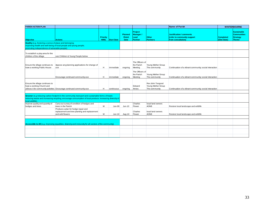| <b>PARISH ACTION PLAN</b>                                                                                                                                                                                                           |                                                                                                            |                          |                   |                                                |                                                             |                                                         | Name of Parish                                                                       |                                 | <b>WINTERBOURNE</b>                                                         |
|-------------------------------------------------------------------------------------------------------------------------------------------------------------------------------------------------------------------------------------|------------------------------------------------------------------------------------------------------------|--------------------------|-------------------|------------------------------------------------|-------------------------------------------------------------|---------------------------------------------------------|--------------------------------------------------------------------------------------|---------------------------------|-----------------------------------------------------------------------------|
| <b>Objective</b>                                                                                                                                                                                                                    | <b>Actions</b>                                                                                             | Priority<br><b>H/M/L</b> | <b>Start Date</b> | <b>Planned</b><br><b>Finish</b><br><b>Date</b> | Project<br>Manager /<br>Lead<br><b>Partner</b>              | <b>Other</b><br><b>Partners</b>                         | <b>Justification / comments</b><br>(refer to community support<br>from consultation) | <b>Completed</b><br>(Give Date) | <b>Sustainable</b><br><b>Communities</b><br><b>Strategy</b><br><b>Theme</b> |
| <b>Healthy</b> (e.g. fostering a sense of place and belonging;<br>improving health and well-being of local people and young people;<br>promoting independence of vulnerable people)                                                 |                                                                                                            |                          |                   |                                                |                                                             |                                                         |                                                                                      |                                 |                                                                             |
| To establish a play area for the<br>children of the village                                                                                                                                                                         | see Children & Young People below                                                                          |                          |                   |                                                |                                                             |                                                         |                                                                                      |                                 |                                                                             |
| Ensure the village continues to<br>have a working Public House                                                                                                                                                                      | Appose any planning applications for change of<br><b>use</b>                                               | H                        | immediate         | ongoing                                        | The Officers of<br>the Parish<br>Meeting<br>The Officers of | Young Mother Group<br>The community                     | Continuation of a vibrant community; social interaction                              |                                 |                                                                             |
|                                                                                                                                                                                                                                     | Encourage continued community use                                                                          | H                        | immediate         | ongoing                                        | the Parish<br>Meeting                                       | Young Mother Group<br>The community                     | Continuation of a vibrant community; social interaction                              |                                 |                                                                             |
| Ensure the village continues to<br>have a working Church and                                                                                                                                                                        | utilises it for community activities Encourage continued community use                                     | н                        | continuous        | ongoing                                        | Edward<br>Amies                                             | Rev John Toogood<br>Young Mother Group<br>The community | Continuation of a vibrant community; social interaction                              |                                 |                                                                             |
| Greener (e.g reducing carbon footprint in the community; transport and sustainable forms of travel;<br>reducing waste and increasing recycling; encourage consumption of local produce; increasing diversity of<br>local wildlife). |                                                                                                            |                          |                   |                                                |                                                             |                                                         |                                                                                      |                                 |                                                                             |
| Improve quality and quantity of<br>hedges and trees                                                                                                                                                                                 | Carry out survey of condition of hedges and<br>trees in the Parish<br>Produce a plan for hedge repair and  | M                        | <b>Jun-09</b>     | Jun-10                                         | Charles<br>Flower                                           | local land owners<br><b>AONB</b>                        | Restore local landscape and wildlife                                                 |                                 |                                                                             |
|                                                                                                                                                                                                                                     | replacement and tree planting and replacement<br>and wild flowers                                          | м                        | Jun-10            | Aug-10                                         | Charles<br>Flower                                           | local land owners<br><b>AONB</b>                        | Restore local landscape and wildlife                                                 |                                 |                                                                             |
|                                                                                                                                                                                                                                     | Accessible to All (e.g. improving equalities; diversity and inclusivity for all sectors of the community). |                          |                   |                                                |                                                             |                                                         |                                                                                      |                                 |                                                                             |
|                                                                                                                                                                                                                                     |                                                                                                            |                          |                   |                                                |                                                             |                                                         |                                                                                      |                                 |                                                                             |
|                                                                                                                                                                                                                                     |                                                                                                            |                          |                   |                                                |                                                             |                                                         |                                                                                      |                                 |                                                                             |